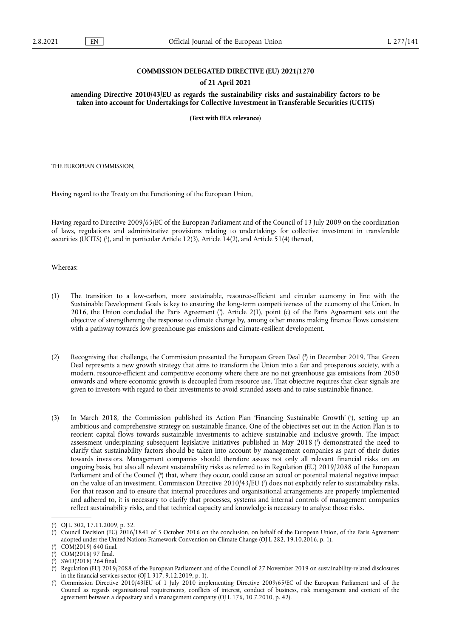### **COMMISSION DELEGATED DIRECTIVE (EU) 2021/1270**

# **of 21 April 2021**

**amending Directive 2010/43/EU as regards the sustainability risks and sustainability factors to be taken into account for Undertakings for Collective Investment in Transferable Securities (UCITS)** 

**(Text with EEA relevance)** 

THE EUROPEAN COMMISSION,

Having regard to the Treaty on the Functioning of the European Union,

<span id="page-0-7"></span>Having regard to Directive 2009/65/EC of the European Parliament and of the Council of 13 July 2009 on the coordination of laws, regulations and administrative provisions relating to undertakings for collective investment in transferable securities (UCITS) ('[\),](#page-0-0) and in particular Article 12(3), Article 14(2), and Article 51(4) thereof,

Whereas:

- <span id="page-0-8"></span>(1) The transition to a low-carbon, more sustainable, resource-efficient and circular economy in line with the Sustainable Development Goals is key to ensuring the long-term competitiveness of the economy of the Union. In 2016, the Union concluded the Paris Agreement [\(](#page-0-1) 2 ). Article 2(1), point (c) of the Paris Agreement sets out the objective of strengthening the response to climate change by, among other means making finance flows consistent with a pathway towards low greenhouse gas emissions and climate-resilient development.
- <span id="page-0-9"></span>(2) Recognising that challenge, the Commission presented the European Green Deal [\(](#page-0-2) 3 ) in December 2019. That Green Deal represents a new growth strategy that aims to transform the Union into a fair and prosperous society, with a modern, resource-efficient and competitive economy where there are no net greenhouse gas emissions from 2050 onwards and where economic growth is decoupled from resource use. That objective requires that clear signals are given to investors with regard to their investments to avoid stranded assets and to raise sustainable finance.
- <span id="page-0-11"></span><span id="page-0-10"></span>(3) In March 2018, the Commission published its Action Plan 'Financing Sustainable Growth' ( 4 [\),](#page-0-3) setting up an ambitious and comprehensive strategy on sustainable finance. One of the objectives set out in the Action Plan is to reorient capital flows towards sustainable investments to achieve sustainable and inclusive growth. The impact assessment underpinning subsequent legislative initiatives published in May 2018 [\(](#page-0-4) 5 ) demonstrated the need to clarify that sustainability factors should be taken into account by management companies as part of their duties towards investors. Management companies should therefore assess not only all relevant financial risks on an ongoing basis, but also all relevant sustainability risks as referred to in Regulation (EU) 2019/2088 of the European Parliament and of the Council [\(](#page-0-5) 6 ) that, where they occur, could cause an actual or potential material negative impact on the value of an investment. Commission Directive 2010/43/EU [\(](#page-0-6)?) does not explicitly refer to sustainability risks. For that reason and to ensure that internal procedures and organisational arrangements are properly implemented and adhered to, it is necessary to clarify that processes, systems and internal controls of management companies reflect sustainability risks, and that technical capacity and knowledge is necessary to analyse those risks.

<span id="page-0-13"></span><span id="page-0-12"></span><span id="page-0-0"></span>[<sup>\(</sup>](#page-0-7) 1 ) OJ L 302, 17.11.2009, p. 32.

<span id="page-0-1"></span>[<sup>\(</sup>](#page-0-8) 2 ) Council Decision (EU) 2016/1841 of 5 October 2016 on the conclusion, on behalf of the European Union, of the Paris Agreement adopted under the United Nations Framework Convention on Climate Change (OJ L 282, 19.10.2016, p. 1).

<span id="page-0-2"></span><sup>(</sup> 3 [\)](#page-0-9) COM(2019) 640 final.

<span id="page-0-3"></span>[<sup>\(</sup>](#page-0-10) 4 ) COM(2018) 97 final.

<span id="page-0-4"></span>[<sup>\(</sup>](#page-0-11) 5 ) SWD(2018) 264 final.

<span id="page-0-5"></span>[<sup>\(</sup>](#page-0-12) 6 ) Regulation (EU) 2019/2088 of the European Parliament and of the Council of 27 November 2019 on sustainability-related disclosures in the financial services sector (OJ L 317, 9.12.2019, p. 1).

<span id="page-0-6"></span>[<sup>\(</sup>](#page-0-13) 7 ) Commission Directive 2010/43/EU of 1 July 2010 implementing Directive 2009/65/EC of the European Parliament and of the Council as regards organisational requirements, conflicts of interest, conduct of business, risk management and content of the agreement between a depositary and a management company (OJ L 176, 10.7.2010, p. 42).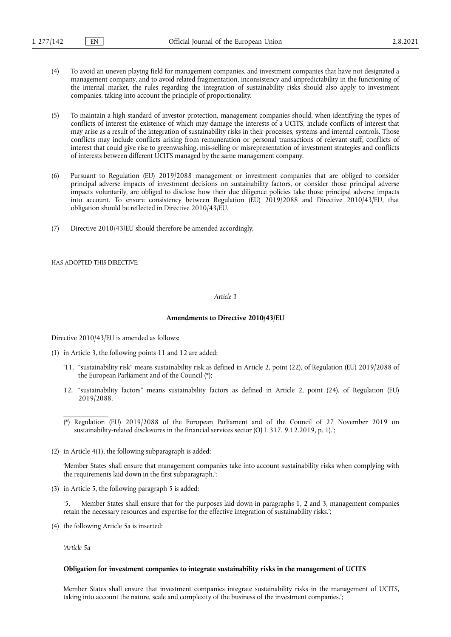- (4) To avoid an uneven playing field for management companies, and investment companies that have not designated a management company, and to avoid related fragmentation, inconsistency and unpredictability in the functioning of the internal market, the rules regarding the integration of sustainability risks should also apply to investment companies, taking into account the principle of proportionality.
- (5) To maintain a high standard of investor protection, management companies should, when identifying the types of conflicts of interest the existence of which may damage the interests of a UCITS, include conflicts of interest that may arise as a result of the integration of sustainability risks in their processes, systems and internal controls. Those conflicts may include conflicts arising from remuneration or personal transactions of relevant staff, conflicts of interest that could give rise to greenwashing, mis-selling or misrepresentation of investment strategies and conflicts of interests between different UCITS managed by the same management company.
- (6) Pursuant to Regulation (EU) 2019/2088 management or investment companies that are obliged to consider principal adverse impacts of investment decisions on sustainability factors, or consider those principal adverse impacts voluntarily, are obliged to disclose how their due diligence policies take those principal adverse impacts into account. To ensure consistency between Regulation (EU) 2019/2088 and Directive 2010/43/EU, that obligation should be reflected in Directive 2010/43/EU.
- (7) Directive 2010/43/EU should therefore be amended accordingly,

HAS ADOPTED THIS DIRECTIVE:

### *Article 1*

#### **Amendments to Directive 2010/43/EU**

Directive 2010/43/EU is amended as follows:

- (1) in Article 3, the following points 11 and 12 are added:
	- '11. "sustainability risk" means sustainability risk as defined in Article 2, point (22), of Regulation (EU) 2019/2088 of the European Parliament and of the Counci[l \(\\*\)](#page-1-0);
	- 12. "sustainability factors" means sustainability factors as defined in Article 2, point (24), of Regulation (EU) 2019/2088.

(2) in Article 4(1), the following subparagraph is added:

'Member States shall ensure that management companies take into account sustainability risks when complying with the requirements laid down in the first subparagraph.';

(3) in Article 5, the following paragraph 5 is added:

'5. Member States shall ensure that for the purposes laid down in paragraphs 1, 2 and 3, management companies retain the necessary resources and expertise for the effective integration of sustainability risks.';

(4) the following Article 5a is inserted:

*'Article 5a*

\_\_\_\_\_\_\_\_\_\_\_\_\_

#### **Obligation for investment companies to integrate sustainability risks in the management of UCITS**

Member States shall ensure that investment companies integrate sustainability risks in the management of UCITS, taking into account the nature, scale and complexity of the business of the investment companies.';

<span id="page-1-0"></span><sup>(\*)</sup> Regulation (EU) 2019/2088 of the European Parliament and of the Council of 27 November 2019 on sustainability-related disclosures in the financial services sector (OJ L 317, 9.12.2019, p. 1).';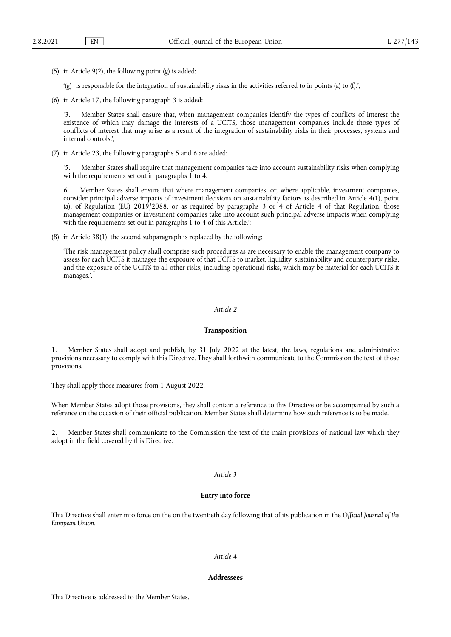(5) in Article 9(2), the following point (g) is added:

'(g) is responsible for the integration of sustainability risks in the activities referred to in points (a) to (f).';

(6) in Article 17, the following paragraph 3 is added:

'3. Member States shall ensure that, when management companies identify the types of conflicts of interest the existence of which may damage the interests of a UCITS, those management companies include those types of conflicts of interest that may arise as a result of the integration of sustainability risks in their processes, systems and internal controls.';

(7) in Article 23, the following paragraphs 5 and 6 are added:

'5. Member States shall require that management companies take into account sustainability risks when complying with the requirements set out in paragraphs 1 to 4.

6. Member States shall ensure that where management companies, or, where applicable, investment companies, consider principal adverse impacts of investment decisions on sustainability factors as described in Article 4(1), point (a), of Regulation (EU) 2019/2088, or as required by paragraphs 3 or 4 of Article 4 of that Regulation, those management companies or investment companies take into account such principal adverse impacts when complying with the requirements set out in paragraphs 1 to 4 of this Article.';

(8) in Article 38(1), the second subparagraph is replaced by the following:

'The risk management policy shall comprise such procedures as are necessary to enable the management company to assess for each UCITS it manages the exposure of that UCITS to market, liquidity, sustainability and counterparty risks, and the exposure of the UCITS to all other risks, including operational risks, which may be material for each UCITS it manages.'.

#### *Article 2*

#### **Transposition**

1. Member States shall adopt and publish, by 31 July 2022 at the latest, the laws, regulations and administrative provisions necessary to comply with this Directive. They shall forthwith communicate to the Commission the text of those provisions.

They shall apply those measures from 1 August 2022.

When Member States adopt those provisions, they shall contain a reference to this Directive or be accompanied by such a reference on the occasion of their official publication. Member States shall determine how such reference is to be made.

2. Member States shall communicate to the Commission the text of the main provisions of national law which they adopt in the field covered by this Directive.

#### *Article 3*

# **Entry into force**

This Directive shall enter into force on the on the twentieth day following that of its publication in the *Official Journal of the European Union*.

## *Article 4*

#### **Addressees**

This Directive is addressed to the Member States.